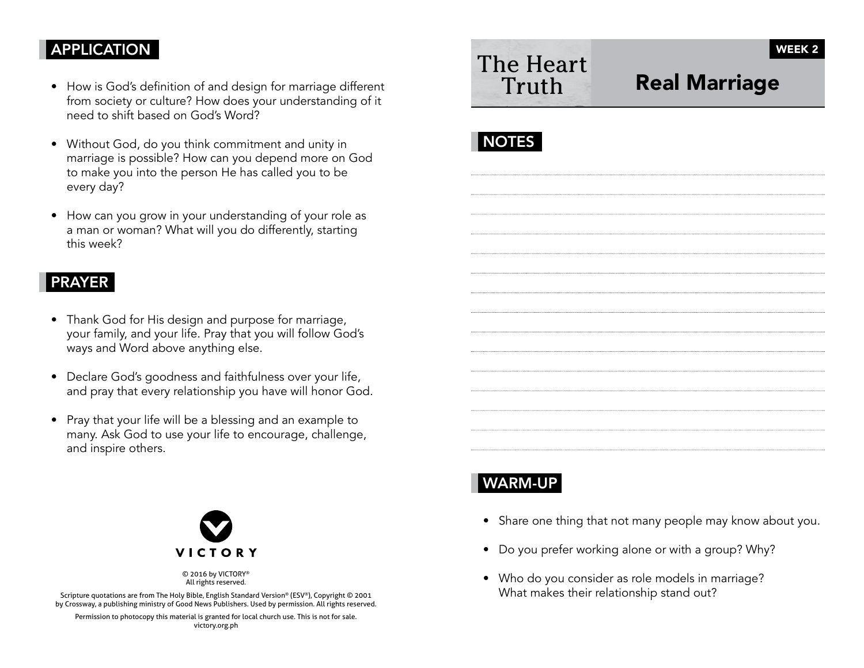### **APPLICATION**

- How is God's definition of and design for marriage different from society or culture? How does your understanding of it need to shift based on God's Word?
- Without God, do you think commitment and unity in marriage is possible? How can you depend more on God to make you into the person He has called you to be every day?
- How can you grow in your understanding of your role as a man or woman? What will you do differently, starting this week?

#### PRAYER

- Thank God for His design and purpose for marriage, your family, and your life. Pray that you will follow God's ways and Word above anything else.
- Declare God's goodness and faithfulness over your life, and pray that every relationship you have will honor God.
- Pray that your life will be a blessing and an example to many. Ask God to use your life to encourage, challenge, and inspire others.



© 2016 by VICTORY® All rights reserved.

Scripture quotations are from The Holy Bible, English Standard Version® (ESV®), Copyright © 2001 by Crossway, a publishing ministry of Good News Publishers. Used by permission. All rights reserved.

Permission to photocopy this material is granted for local church use. This is not for sale. victory.org.ph

# The Heart Truth

## Real Marriage

## **NOTES**

### WARM-UP

- Share one thing that not many people may know about you.
- Do you prefer working alone or with a group? Why?
- Who do you consider as role models in marriage? What makes their relationship stand out?

WEEK 2